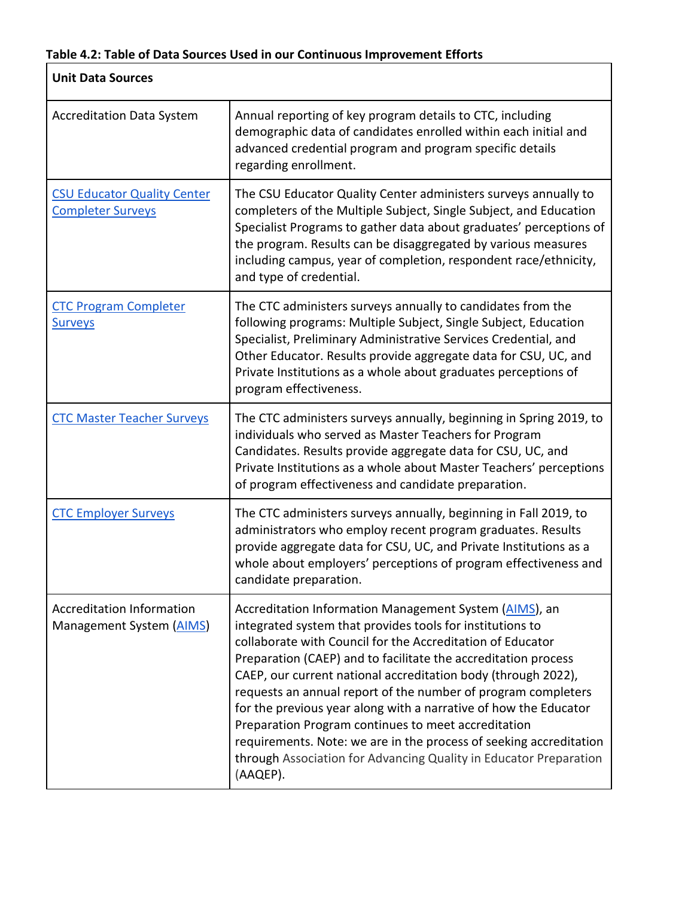ī

| <b>Unit Data Sources</b>                                       |                                                                                                                                                                                                                                                                                                                                                                                                                                                                                                                                                                                                                                                                         |
|----------------------------------------------------------------|-------------------------------------------------------------------------------------------------------------------------------------------------------------------------------------------------------------------------------------------------------------------------------------------------------------------------------------------------------------------------------------------------------------------------------------------------------------------------------------------------------------------------------------------------------------------------------------------------------------------------------------------------------------------------|
| <b>Accreditation Data System</b>                               | Annual reporting of key program details to CTC, including<br>demographic data of candidates enrolled within each initial and<br>advanced credential program and program specific details<br>regarding enrollment.                                                                                                                                                                                                                                                                                                                                                                                                                                                       |
| <b>CSU Educator Quality Center</b><br><b>Completer Surveys</b> | The CSU Educator Quality Center administers surveys annually to<br>completers of the Multiple Subject, Single Subject, and Education<br>Specialist Programs to gather data about graduates' perceptions of<br>the program. Results can be disaggregated by various measures<br>including campus, year of completion, respondent race/ethnicity,<br>and type of credential.                                                                                                                                                                                                                                                                                              |
| <b>CTC Program Completer</b><br><b>Surveys</b>                 | The CTC administers surveys annually to candidates from the<br>following programs: Multiple Subject, Single Subject, Education<br>Specialist, Preliminary Administrative Services Credential, and<br>Other Educator. Results provide aggregate data for CSU, UC, and<br>Private Institutions as a whole about graduates perceptions of<br>program effectiveness.                                                                                                                                                                                                                                                                                                        |
| <b>CTC Master Teacher Surveys</b>                              | The CTC administers surveys annually, beginning in Spring 2019, to<br>individuals who served as Master Teachers for Program<br>Candidates. Results provide aggregate data for CSU, UC, and<br>Private Institutions as a whole about Master Teachers' perceptions<br>of program effectiveness and candidate preparation.                                                                                                                                                                                                                                                                                                                                                 |
| <b>CTC Employer Surveys</b>                                    | The CTC administers surveys annually, beginning in Fall 2019, to<br>administrators who employ recent program graduates. Results<br>provide aggregate data for CSU, UC, and Private Institutions as a<br>whole about employers' perceptions of program effectiveness and<br>candidate preparation.                                                                                                                                                                                                                                                                                                                                                                       |
| <b>Accreditation Information</b><br>Management System (AIMS)   | Accreditation Information Management System (AIMS), an<br>integrated system that provides tools for institutions to<br>collaborate with Council for the Accreditation of Educator<br>Preparation (CAEP) and to facilitate the accreditation process<br>CAEP, our current national accreditation body (through 2022),<br>requests an annual report of the number of program completers<br>for the previous year along with a narrative of how the Educator<br>Preparation Program continues to meet accreditation<br>requirements. Note: we are in the process of seeking accreditation<br>through Association for Advancing Quality in Educator Preparation<br>(AAQEP). |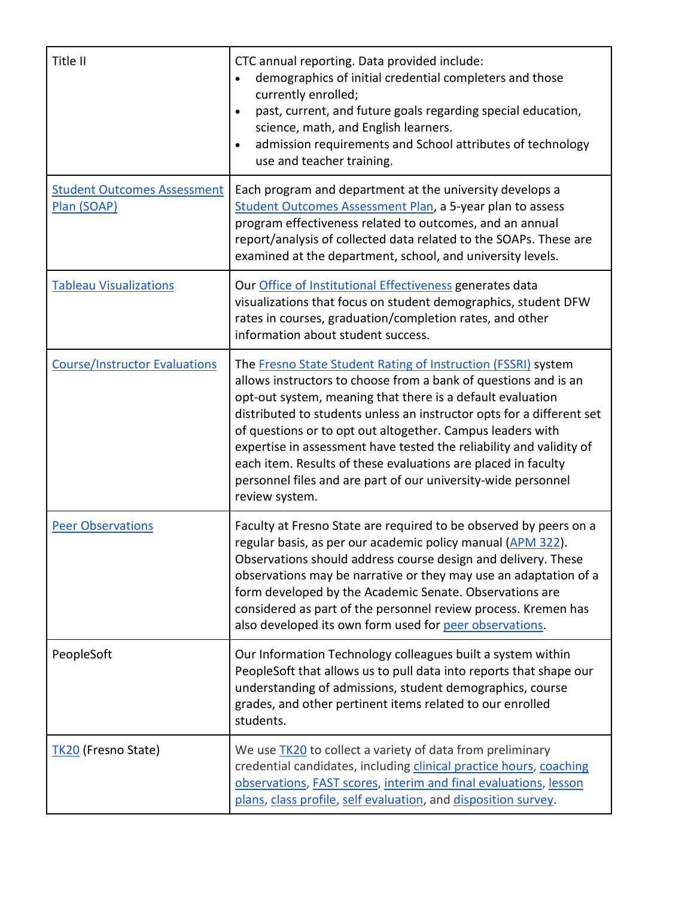| Title II                                          | CTC annual reporting. Data provided include:<br>demographics of initial credential completers and those<br>currently enrolled;<br>past, current, and future goals regarding special education,<br>$\bullet$<br>science, math, and English learners.<br>admission requirements and School attributes of technology<br>$\bullet$<br>use and teacher training.                                                                                                                                                                                                      |
|---------------------------------------------------|------------------------------------------------------------------------------------------------------------------------------------------------------------------------------------------------------------------------------------------------------------------------------------------------------------------------------------------------------------------------------------------------------------------------------------------------------------------------------------------------------------------------------------------------------------------|
| <b>Student Outcomes Assessment</b><br>Plan (SOAP) | Each program and department at the university develops a<br>Student Outcomes Assessment Plan, a 5-year plan to assess<br>program effectiveness related to outcomes, and an annual<br>report/analysis of collected data related to the SOAPs. These are<br>examined at the department, school, and university levels.                                                                                                                                                                                                                                             |
| <b>Tableau Visualizations</b>                     | Our Office of Institutional Effectiveness generates data<br>visualizations that focus on student demographics, student DFW<br>rates in courses, graduation/completion rates, and other<br>information about student success.                                                                                                                                                                                                                                                                                                                                     |
| <b>Course/Instructor Evaluations</b>              | The Fresno State Student Rating of Instruction (FSSRI) system<br>allows instructors to choose from a bank of questions and is an<br>opt-out system, meaning that there is a default evaluation<br>distributed to students unless an instructor opts for a different set<br>of questions or to opt out altogether. Campus leaders with<br>expertise in assessment have tested the reliability and validity of<br>each item. Results of these evaluations are placed in faculty<br>personnel files and are part of our university-wide personnel<br>review system. |
| <b>Peer Observations</b>                          | Faculty at Fresno State are required to be observed by peers on a<br>regular basis, as per our academic policy manual (APM 322).<br>Observations should address course design and delivery. These<br>observations may be narrative or they may use an adaptation of a<br>form developed by the Academic Senate. Observations are<br>considered as part of the personnel review process. Kremen has<br>also developed its own form used for peer observations.                                                                                                    |
| PeopleSoft                                        | Our Information Technology colleagues built a system within<br>PeopleSoft that allows us to pull data into reports that shape our<br>understanding of admissions, student demographics, course<br>grades, and other pertinent items related to our enrolled<br>students.                                                                                                                                                                                                                                                                                         |
| TK20 (Fresno State)                               | We use TK20 to collect a variety of data from preliminary<br>credential candidates, including clinical practice hours, coaching<br>observations, FAST scores, interim and final evaluations, lesson<br>plans, class profile, self evaluation, and disposition survey.                                                                                                                                                                                                                                                                                            |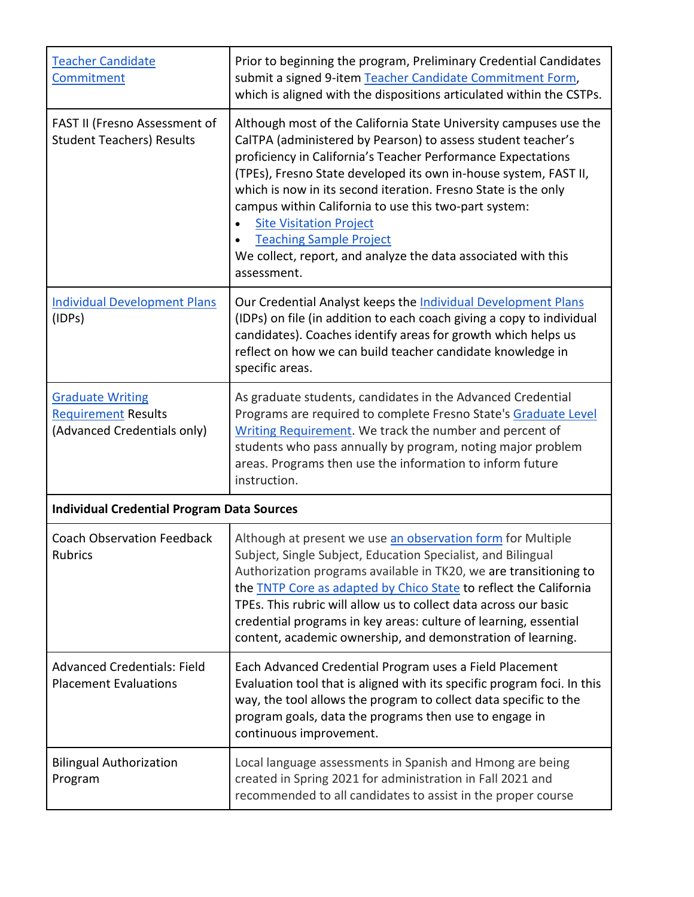| <b>Teacher Candidate</b><br>Commitment                                               | Prior to beginning the program, Preliminary Credential Candidates<br>submit a signed 9-item Teacher Candidate Commitment Form,<br>which is aligned with the dispositions articulated within the CSTPs.                                                                                                                                                                                                                                                                                                                                               |
|--------------------------------------------------------------------------------------|------------------------------------------------------------------------------------------------------------------------------------------------------------------------------------------------------------------------------------------------------------------------------------------------------------------------------------------------------------------------------------------------------------------------------------------------------------------------------------------------------------------------------------------------------|
| FAST II (Fresno Assessment of<br><b>Student Teachers) Results</b>                    | Although most of the California State University campuses use the<br>CalTPA (administered by Pearson) to assess student teacher's<br>proficiency in California's Teacher Performance Expectations<br>(TPEs), Fresno State developed its own in-house system, FAST II,<br>which is now in its second iteration. Fresno State is the only<br>campus within California to use this two-part system:<br><b>Site Visitation Project</b><br><b>Teaching Sample Project</b><br>We collect, report, and analyze the data associated with this<br>assessment. |
| <b>Individual Development Plans</b><br>(IDPs)                                        | Our Credential Analyst keeps the Individual Development Plans<br>(IDPs) on file (in addition to each coach giving a copy to individual<br>candidates). Coaches identify areas for growth which helps us<br>reflect on how we can build teacher candidate knowledge in<br>specific areas.                                                                                                                                                                                                                                                             |
| <b>Graduate Writing</b><br><b>Requirement Results</b><br>(Advanced Credentials only) | As graduate students, candidates in the Advanced Credential<br>Programs are required to complete Fresno State's Graduate Level<br>Writing Requirement. We track the number and percent of<br>students who pass annually by program, noting major problem<br>areas. Programs then use the information to inform future<br>instruction.                                                                                                                                                                                                                |
| <b>Individual Credential Program Data Sources</b>                                    |                                                                                                                                                                                                                                                                                                                                                                                                                                                                                                                                                      |
| <b>Coach Observation Feedback</b><br>Rubrics                                         | Although at present we use an observation form for Multiple<br>Subject, Single Subject, Education Specialist, and Bilingual<br>Authorization programs available in TK20, we are transitioning to<br>the <b>TNTP</b> Core as adapted by Chico State to reflect the California<br>TPEs. This rubric will allow us to collect data across our basic<br>credential programs in key areas: culture of learning, essential<br>content, academic ownership, and demonstration of learning.                                                                  |
| <b>Advanced Credentials: Field</b><br><b>Placement Evaluations</b>                   | Each Advanced Credential Program uses a Field Placement<br>Evaluation tool that is aligned with its specific program foci. In this<br>way, the tool allows the program to collect data specific to the<br>program goals, data the programs then use to engage in<br>continuous improvement.                                                                                                                                                                                                                                                          |
| <b>Bilingual Authorization</b><br>Program                                            | Local language assessments in Spanish and Hmong are being<br>created in Spring 2021 for administration in Fall 2021 and<br>recommended to all candidates to assist in the proper course                                                                                                                                                                                                                                                                                                                                                              |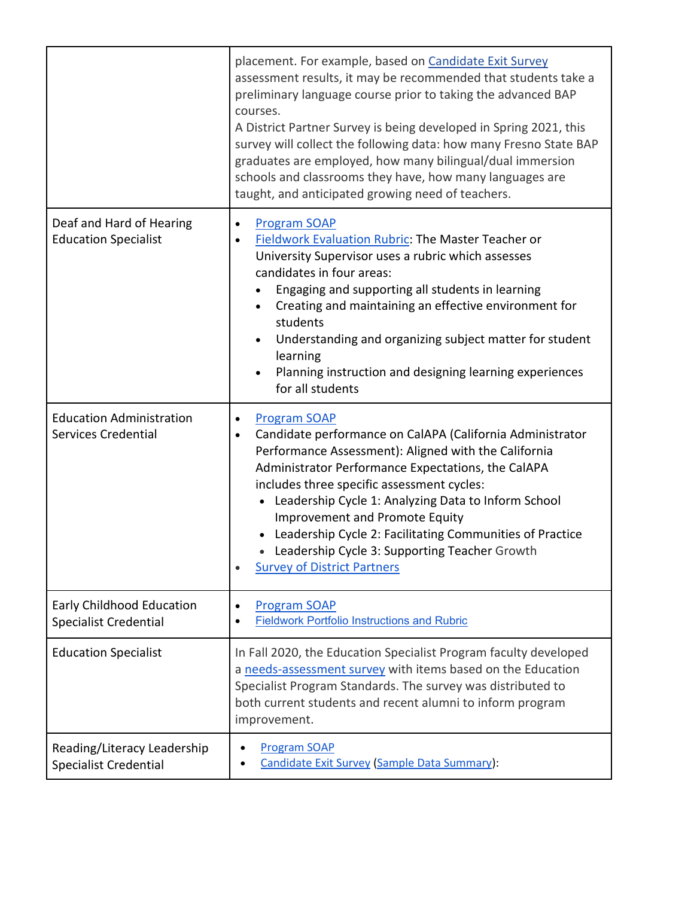|                                                               | placement. For example, based on Candidate Exit Survey<br>assessment results, it may be recommended that students take a<br>preliminary language course prior to taking the advanced BAP<br>courses.<br>A District Partner Survey is being developed in Spring 2021, this<br>survey will collect the following data: how many Fresno State BAP<br>graduates are employed, how many bilingual/dual immersion<br>schools and classrooms they have, how many languages are<br>taught, and anticipated growing need of teachers. |
|---------------------------------------------------------------|------------------------------------------------------------------------------------------------------------------------------------------------------------------------------------------------------------------------------------------------------------------------------------------------------------------------------------------------------------------------------------------------------------------------------------------------------------------------------------------------------------------------------|
| Deaf and Hard of Hearing<br><b>Education Specialist</b>       | <b>Program SOAP</b><br>Fieldwork Evaluation Rubric: The Master Teacher or<br>University Supervisor uses a rubric which assesses<br>candidates in four areas:<br>Engaging and supporting all students in learning<br>Creating and maintaining an effective environment for<br>students<br>Understanding and organizing subject matter for student<br>learning<br>Planning instruction and designing learning experiences<br>for all students                                                                                  |
| <b>Education Administration</b><br><b>Services Credential</b> | <b>Program SOAP</b><br>$\bullet$<br>Candidate performance on CalAPA (California Administrator<br>Performance Assessment): Aligned with the California<br>Administrator Performance Expectations, the CalAPA<br>includes three specific assessment cycles:<br>• Leadership Cycle 1: Analyzing Data to Inform School<br>Improvement and Promote Equity<br>Leadership Cycle 2: Facilitating Communities of Practice<br>Leadership Cycle 3: Supporting Teacher Growth<br><b>Survey of District Partners</b>                      |
| Early Childhood Education<br><b>Specialist Credential</b>     | <b>Program SOAP</b><br>$\bullet$<br><b>Fieldwork Portfolio Instructions and Rubric</b>                                                                                                                                                                                                                                                                                                                                                                                                                                       |
| <b>Education Specialist</b>                                   | In Fall 2020, the Education Specialist Program faculty developed<br>a needs-assessment survey with items based on the Education<br>Specialist Program Standards. The survey was distributed to<br>both current students and recent alumni to inform program<br>improvement.                                                                                                                                                                                                                                                  |
| Reading/Literacy Leadership<br><b>Specialist Credential</b>   | <b>Program SOAP</b><br>Candidate Exit Survey (Sample Data Summary):                                                                                                                                                                                                                                                                                                                                                                                                                                                          |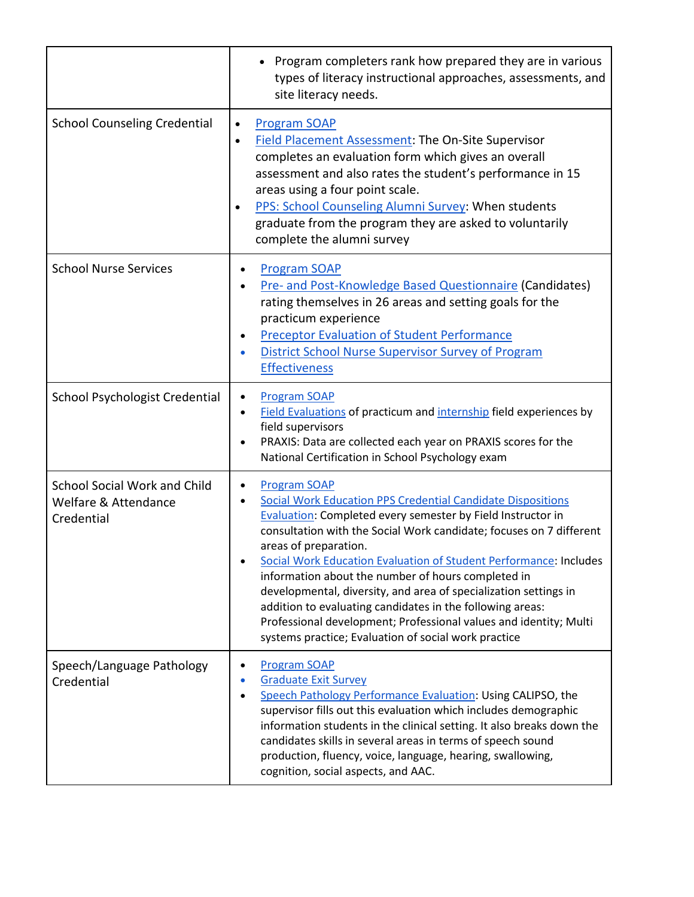|                                                                           | Program completers rank how prepared they are in various<br>types of literacy instructional approaches, assessments, and<br>site literacy needs.                                                                                                                                                                                                                                                                                                                                                                                                                                                                                                                                   |
|---------------------------------------------------------------------------|------------------------------------------------------------------------------------------------------------------------------------------------------------------------------------------------------------------------------------------------------------------------------------------------------------------------------------------------------------------------------------------------------------------------------------------------------------------------------------------------------------------------------------------------------------------------------------------------------------------------------------------------------------------------------------|
| <b>School Counseling Credential</b>                                       | <b>Program SOAP</b><br>$\bullet$<br><b>Field Placement Assessment: The On-Site Supervisor</b><br>$\bullet$<br>completes an evaluation form which gives an overall<br>assessment and also rates the student's performance in 15<br>areas using a four point scale.<br>PPS: School Counseling Alumni Survey: When students<br>$\bullet$<br>graduate from the program they are asked to voluntarily<br>complete the alumni survey                                                                                                                                                                                                                                                     |
| <b>School Nurse Services</b>                                              | <b>Program SOAP</b><br><b>Pre- and Post-Knowledge Based Questionnaire (Candidates)</b><br>rating themselves in 26 areas and setting goals for the<br>practicum experience<br><b>Preceptor Evaluation of Student Performance</b><br>$\bullet$<br><b>District School Nurse Supervisor Survey of Program</b><br><b>Effectiveness</b>                                                                                                                                                                                                                                                                                                                                                  |
| School Psychologist Credential                                            | <b>Program SOAP</b><br>$\bullet$<br>Field Evaluations of practicum and internship field experiences by<br>$\bullet$<br>field supervisors<br>PRAXIS: Data are collected each year on PRAXIS scores for the<br>National Certification in School Psychology exam                                                                                                                                                                                                                                                                                                                                                                                                                      |
| <b>School Social Work and Child</b><br>Welfare & Attendance<br>Credential | <b>Program SOAP</b><br>$\bullet$<br><b>Social Work Education PPS Credential Candidate Dispositions</b><br>$\bullet$<br><b>Evaluation: Completed every semester by Field Instructor in</b><br>consultation with the Social Work candidate; focuses on 7 different<br>areas of preparation.<br>Social Work Education Evaluation of Student Performance: Includes<br>information about the number of hours completed in<br>developmental, diversity, and area of specialization settings in<br>addition to evaluating candidates in the following areas:<br>Professional development; Professional values and identity; Multi<br>systems practice; Evaluation of social work practice |
| Speech/Language Pathology<br>Credential                                   | <b>Program SOAP</b><br><b>Graduate Exit Survey</b><br>Speech Pathology Performance Evaluation: Using CALIPSO, the<br>$\bullet$<br>supervisor fills out this evaluation which includes demographic<br>information students in the clinical setting. It also breaks down the<br>candidates skills in several areas in terms of speech sound<br>production, fluency, voice, language, hearing, swallowing,<br>cognition, social aspects, and AAC.                                                                                                                                                                                                                                     |